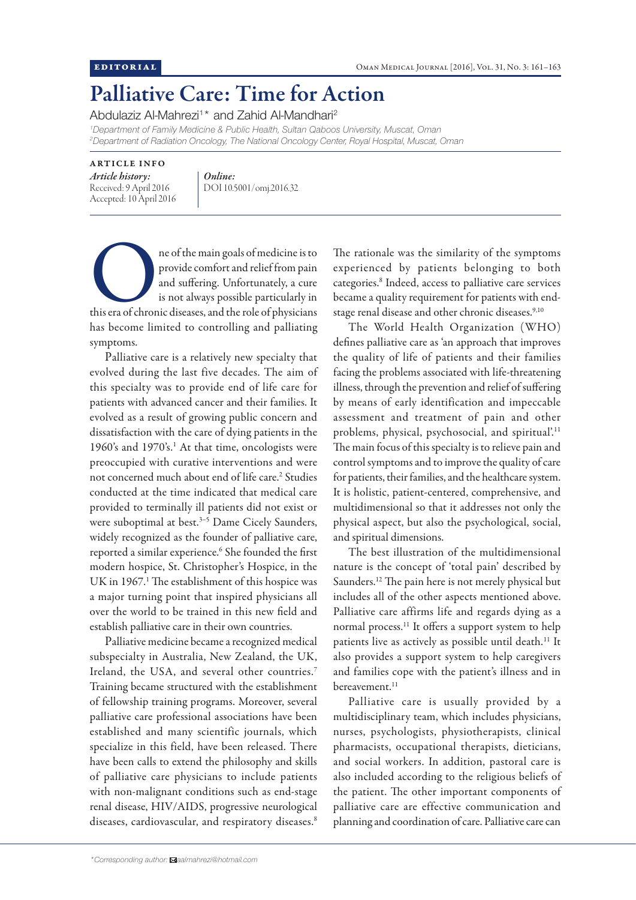## Palliative Care: Time for Action

Abdulaziz Al-Mahrezi<sup>1\*</sup> and Zahid Al-Mandhari<sup>2</sup>

*1 Department of Family Medicine & Public Health, Sultan Qaboos University, Muscat, Oman 2 Department of Radiation Oncology, The National Oncology Center, Royal Hospital, Muscat, Oman*

## ARTICLE INFO

*Article history:*  Received: 9 April 2016 Accepted: 10 April 2016 *Online:* DOI 10.5001/omj.2016.32

ne of the main goals of medicine is to provide comfort and relief from pain and suffering. Unfortunately, a cure is not always possible particularly in this era of chronic diseases, and the role of physicians provide comfort and relief from pain and suffering. Unfortunately, a cure is not always possible particularly in has become limited to controlling and palliating symptoms.

Palliative care is a relatively new specialty that evolved during the last five decades. The aim of this specialty was to provide end of life care for patients with advanced cancer and their families. It evolved as a result of growing public concern and dissatisfaction with the care of dying patients in the 1960's and 1970's.<sup>1</sup> At that time, oncologists were preoccupied with curative interventions and were not concerned much about end of life care.<sup>2</sup> Studies conducted at the time indicated that medical care provided to terminally ill patients did not exist or were suboptimal at best.<sup>3-5</sup> Dame Cicely Saunders, widely recognized as the founder of palliative care, reported a similar experience.<sup>6</sup> She founded the first modern hospice, St. Christopher's Hospice, in the UK in 1967.<sup>1</sup> The establishment of this hospice was a major turning point that inspired physicians all over the world to be trained in this new field and establish palliative care in their own countries.

Palliative medicine became a recognized medical subspecialty in Australia, New Zealand, the UK, Ireland, the USA, and several other countries.7 Training became structured with the establishment of fellowship training programs. Moreover, several palliative care professional associations have been established and many scientific journals, which specialize in this field, have been released. There have been calls to extend the philosophy and skills of palliative care physicians to include patients with non-malignant conditions such as end-stage renal disease, HIV/AIDS, progressive neurological diseases, cardiovascular, and respiratory diseases.<sup>8</sup> The rationale was the similarity of the symptoms experienced by patients belonging to both categories.8 Indeed, access to palliative care services became a quality requirement for patients with endstage renal disease and other chronic diseases.<sup>9,10</sup>

The World Health Organization (WHO) defines palliative care as 'an approach that improves the quality of life of patients and their families facing the problems associated with life-threatening illness, through the prevention and relief of suffering by means of early identification and impeccable assessment and treatment of pain and other problems, physical, psychosocial, and spiritual'.11 The main focus of this specialty is to relieve pain and control symptoms and to improve the quality of care for patients, their families, and the healthcare system. It is holistic, patient-centered, comprehensive, and multidimensional so that it addresses not only the physical aspect, but also the psychological, social, and spiritual dimensions.

The best illustration of the multidimensional nature is the concept of 'total pain' described by Saunders.12 The pain here is not merely physical but includes all of the other aspects mentioned above. Palliative care affirms life and regards dying as a normal process.11 It offers a support system to help patients live as actively as possible until death.<sup>11</sup> It also provides a support system to help caregivers and families cope with the patient's illness and in bereavement.<sup>11</sup>

Palliative care is usually provided by a multidisciplinary team, which includes physicians, nurses, psychologists, physiotherapists, clinical pharmacists, occupational therapists, dieticians, and social workers. In addition, pastoral care is also included according to the religious beliefs of the patient. The other important components of palliative care are effective communication and planning and coordination of care. Palliative care can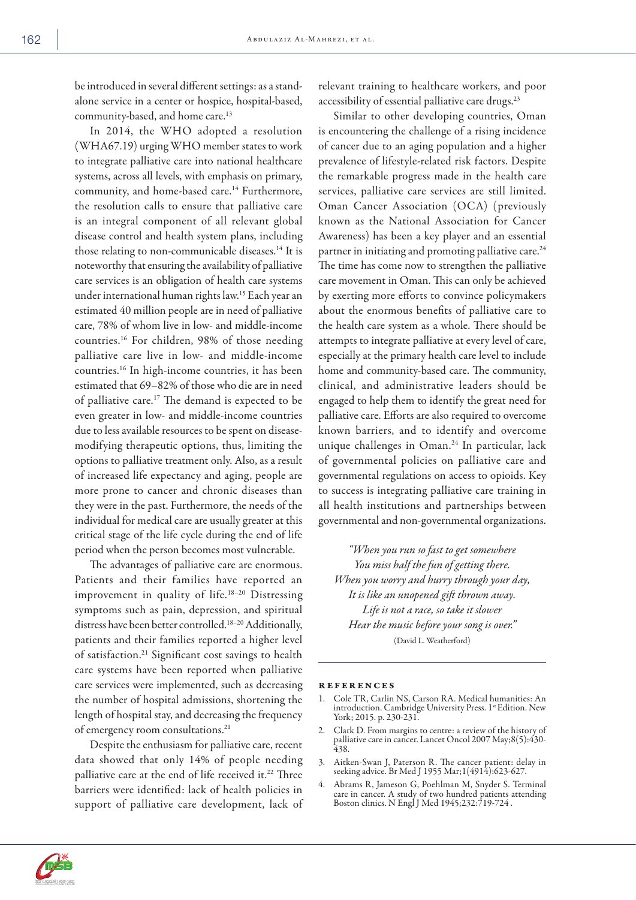be introduced in several different settings: as a standalone service in a center or hospice, hospital-based, community-based, and home care.<sup>13</sup>

In 2014, the WHO adopted a resolution (WHA67.19) urging WHO member states to work to integrate palliative care into national healthcare systems, across all levels, with emphasis on primary, community, and home-based care.<sup>14</sup> Furthermore, the resolution calls to ensure that palliative care is an integral component of all relevant global disease control and health system plans, including those relating to non-communicable diseases.14 It is noteworthy that ensuring the availability of palliative care services is an obligation of health care systems under international human rights law.15 Each year an estimated 40 million people are in need of palliative care, 78% of whom live in low- and middle-income countries.16 For children, 98% of those needing palliative care live in low- and middle-income countries.16 In high-income countries, it has been estimated that 69–82% of those who die are in need of palliative care.17 The demand is expected to be even greater in low- and middle-income countries due to less available resources to be spent on diseasemodifying therapeutic options, thus, limiting the options to palliative treatment only. Also, as a result of increased life expectancy and aging, people are more prone to cancer and chronic diseases than they were in the past. Furthermore, the needs of the individual for medical care are usually greater at this critical stage of the life cycle during the end of life period when the person becomes most vulnerable.

The advantages of palliative care are enormous. Patients and their families have reported an improvement in quality of life.18–20 Distressing symptoms such as pain, depression, and spiritual distress have been better controlled.18–20 Additionally, patients and their families reported a higher level of satisfaction.21 Significant cost savings to health care systems have been reported when palliative care services were implemented, such as decreasing the number of hospital admissions, shortening the length of hospital stay, and decreasing the frequency of emergency room consultations.<sup>21</sup>

Despite the enthusiasm for palliative care, recent data showed that only 14% of people needing palliative care at the end of life received it.<sup>22</sup> Three barriers were identified: lack of health policies in support of palliative care development, lack of relevant training to healthcare workers, and poor accessibility of essential palliative care drugs.<sup>23</sup>

Similar to other developing countries, Oman is encountering the challenge of a rising incidence of cancer due to an aging population and a higher prevalence of lifestyle-related risk factors. Despite the remarkable progress made in the health care services, palliative care services are still limited. Oman Cancer Association (OCA) (previously known as the National Association for Cancer Awareness) has been a key player and an essential partner in initiating and promoting palliative care.<sup>24</sup> The time has come now to strengthen the palliative care movement in Oman. This can only be achieved by exerting more efforts to convince policymakers about the enormous benefits of palliative care to the health care system as a whole. There should be attempts to integrate palliative at every level of care, especially at the primary health care level to include home and community-based care. The community, clinical, and administrative leaders should be engaged to help them to identify the great need for palliative care. Efforts are also required to overcome known barriers, and to identify and overcome unique challenges in Oman.24 In particular, lack of governmental policies on palliative care and governmental regulations on access to opioids. Key to success is integrating palliative care training in all health institutions and partnerships between governmental and non-governmental organizations.

*"When you run so fast to get somewhere You miss half the fun of getting there. When you worry and hurry through your day, It is like an unopened gift thrown away. Life is not a race, so take it slower Hear the music before your song is over."* (David L. Weatherford)

## references

- 1. Cole TR, Carlin NS, Carson RA. Medical humanities: An introduction. Cambridge University Press. 1st Edition. New York; 2015. p. 230-231.
- 2. Clark D. From margins to centre: a review of the history of palliative care in cancer. Lancet Oncol 2007 May;8(5):430- 438.
- 3. Aitken-Swan J, Paterson R. The cancer patient: delay in seeking advice. Br Med J 1955 Mar;1(4914):623-627.
- 4. Abrams R, Jameson G, Poehlman M, Snyder S. Terminal care in cancer. A study of two hundred patients attending Boston clinics. N Engl J Med 1945;232:719-724 .